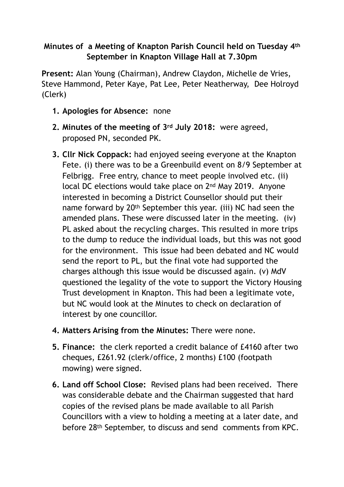## **Minutes of a Meeting of Knapton Parish Council held on Tuesday 4th September in Knapton Village Hall at 7.30pm**

**Present:** Alan Young (Chairman), Andrew Claydon, Michelle de Vries, Steve Hammond, Peter Kaye, Pat Lee, Peter Neatherway, Dee Holroyd (Clerk)

- **1. Apologies for Absence:** none
- **2. Minutes of the meeting of 3rd July 2018:** were agreed, proposed PN, seconded PK.
- **3. Cllr Nick Coppack:** had enjoyed seeing everyone at the Knapton Fete. (i) there was to be a Greenbuild event on 8/9 September at Felbrigg. Free entry, chance to meet people involved etc. (ii) local DC elections would take place on 2nd May 2019. Anyone interested in becoming a District Counsellor should put their name forward by 20th September this year. (iii) NC had seen the amended plans. These were discussed later in the meeting. (iv) PL asked about the recycling charges. This resulted in more trips to the dump to reduce the individual loads, but this was not good for the environment. This issue had been debated and NC would send the report to PL, but the final vote had supported the charges although this issue would be discussed again. (v) MdV questioned the legality of the vote to support the Victory Housing Trust development in Knapton. This had been a legitimate vote, but NC would look at the Minutes to check on declaration of interest by one councillor.
- **4. Matters Arising from the Minutes:** There were none.
- **5. Finance:** the clerk reported a credit balance of £4160 after two cheques, £261.92 (clerk/office, 2 months) £100 (footpath mowing) were signed.
- **6. Land off School Close:** Revised plans had been received. There was considerable debate and the Chairman suggested that hard copies of the revised plans be made available to all Parish Councillors with a view to holding a meeting at a later date, and before 28th September, to discuss and send comments from KPC.